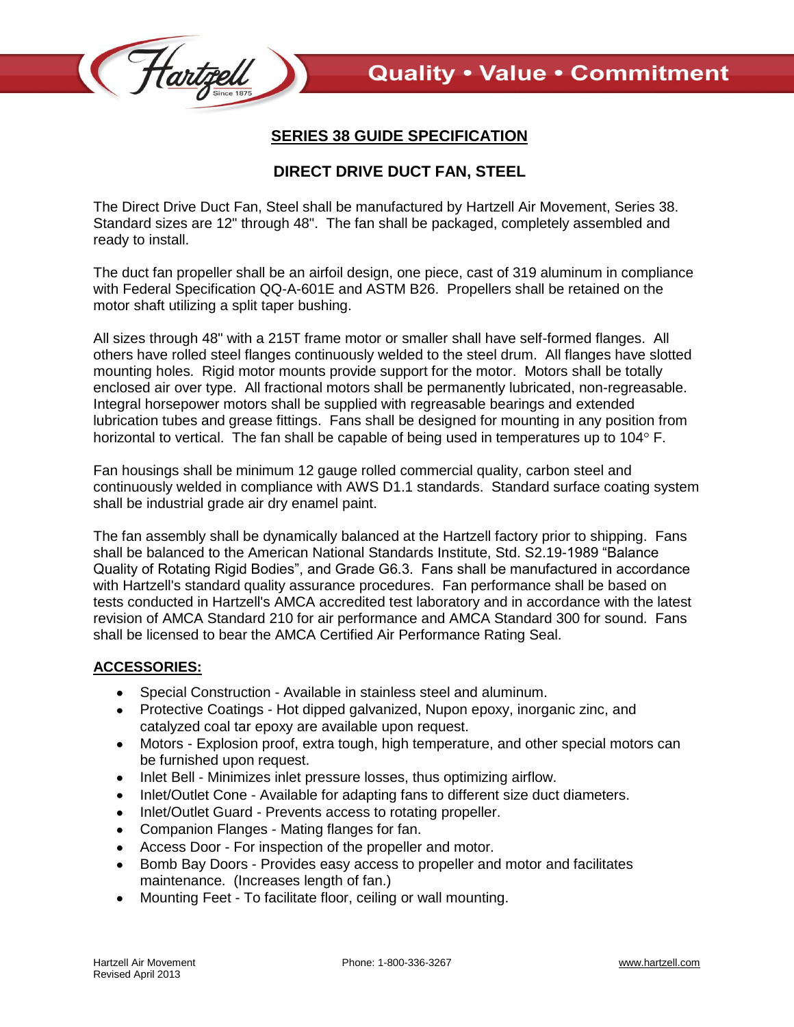

## **SERIES 38 GUIDE SPECIFICATION**

## **DIRECT DRIVE DUCT FAN, STEEL**

The Direct Drive Duct Fan, Steel shall be manufactured by Hartzell Air Movement, Series 38. Standard sizes are 12" through 48". The fan shall be packaged, completely assembled and ready to install.

The duct fan propeller shall be an airfoil design, one piece, cast of 319 aluminum in compliance with Federal Specification QQ-A-601E and ASTM B26. Propellers shall be retained on the motor shaft utilizing a split taper bushing.

All sizes through 48" with a 215T frame motor or smaller shall have self-formed flanges. All others have rolled steel flanges continuously welded to the steel drum. All flanges have slotted mounting holes. Rigid motor mounts provide support for the motor. Motors shall be totally enclosed air over type. All fractional motors shall be permanently lubricated, non-regreasable. Integral horsepower motors shall be supplied with regreasable bearings and extended lubrication tubes and grease fittings. Fans shall be designed for mounting in any position from horizontal to vertical. The fan shall be capable of being used in temperatures up to  $104^{\circ}$  F.

Fan housings shall be minimum 12 gauge rolled commercial quality, carbon steel and continuously welded in compliance with AWS D1.1 standards. Standard surface coating system shall be industrial grade air dry enamel paint.

The fan assembly shall be dynamically balanced at the Hartzell factory prior to shipping. Fans shall be balanced to the American National Standards Institute, Std. S2.19-1989 "Balance Quality of Rotating Rigid Bodies", and Grade G6.3. Fans shall be manufactured in accordance with Hartzell's standard quality assurance procedures. Fan performance shall be based on tests conducted in Hartzell's AMCA accredited test laboratory and in accordance with the latest revision of AMCA Standard 210 for air performance and AMCA Standard 300 for sound. Fans shall be licensed to bear the AMCA Certified Air Performance Rating Seal.

## **ACCESSORIES:**

- Special Construction Available in stainless steel and aluminum.  $\bullet$
- Protective Coatings Hot dipped galvanized, Nupon epoxy, inorganic zinc, and catalyzed coal tar epoxy are available upon request.
- Motors Explosion proof, extra tough, high temperature, and other special motors can be furnished upon request.
- Inlet Bell Minimizes inlet pressure losses, thus optimizing airflow.
- Inlet/Outlet Cone Available for adapting fans to different size duct diameters.
- Inlet/Outlet Guard Prevents access to rotating propeller.  $\bullet$
- Companion Flanges Mating flanges for fan.
- Access Door For inspection of the propeller and motor.
- Bomb Bay Doors Provides easy access to propeller and motor and facilitates maintenance. (Increases length of fan.)
- Mounting Feet To facilitate floor, ceiling or wall mounting.